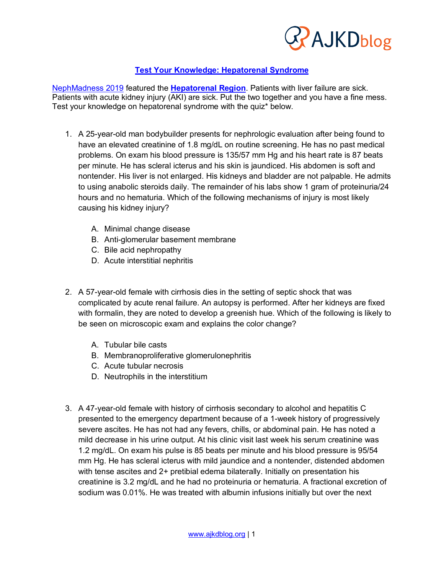

# **Test Your Knowledge: Hepatorenal Syndrome**

NephMadness 2019 featured the **Hepatorenal Region**. Patients with liver failure are sick. Patients with acute kidney injury (AKI) are sick. Put the two together and you have a fine mess. Test your knowledge on hepatorenal syndrome with the quiz\* below.

- 1. A 25-year-old man bodybuilder presents for nephrologic evaluation after being found to have an elevated creatinine of 1.8 mg/dL on routine screening. He has no past medical problems. On exam his blood pressure is 135/57 mm Hg and his heart rate is 87 beats per minute. He has scleral icterus and his skin is jaundiced. His abdomen is soft and nontender. His liver is not enlarged. His kidneys and bladder are not palpable. He admits to using anabolic steroids daily. The remainder of his labs show 1 gram of proteinuria/24 hours and no hematuria. Which of the following mechanisms of injury is most likely causing his kidney injury?
	- A. Minimal change disease
	- B. Anti-glomerular basement membrane
	- C. Bile acid nephropathy
	- D. Acute interstitial nephritis
- 2. A 57-year-old female with cirrhosis dies in the setting of septic shock that was complicated by acute renal failure. An autopsy is performed. After her kidneys are fixed with formalin, they are noted to develop a greenish hue. Which of the following is likely to be seen on microscopic exam and explains the color change?
	- A. Tubular bile casts
	- B. Membranoproliferative glomerulonephritis
	- C. Acute tubular necrosis
	- D. Neutrophils in the interstitium
- 3. A 47-year-old female with history of cirrhosis secondary to alcohol and hepatitis C presented to the emergency department because of a 1-week history of progressively severe ascites. He has not had any fevers, chills, or abdominal pain. He has noted a mild decrease in his urine output. At his clinic visit last week his serum creatinine was 1.2 mg/dL. On exam his pulse is 85 beats per minute and his blood pressure is 95/54 mm Hg. He has scleral icterus with mild jaundice and a nontender, distended abdomen with tense ascites and 2+ pretibial edema bilaterally. Initially on presentation his creatinine is 3.2 mg/dL and he had no proteinuria or hematuria. A fractional excretion of sodium was 0.01%. He was treated with albumin infusions initially but over the next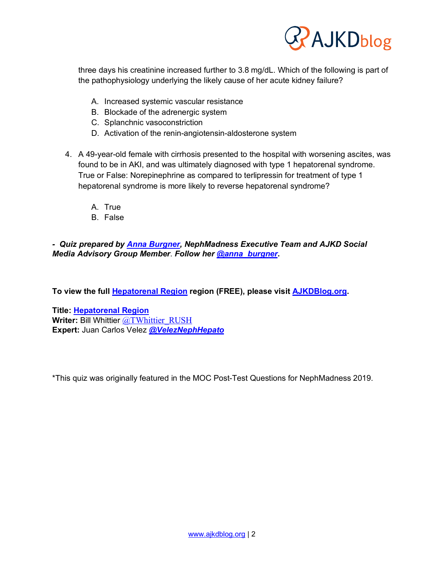

three days his creatinine increased further to 3.8 mg/dL. Which of the following is part of the pathophysiology underlying the likely cause of her acute kidney failure?

- A. Increased systemic vascular resistance
- B. Blockade of the adrenergic system
- C. Splanchnic vasoconstriction
- D. Activation of the renin-angiotensin-aldosterone system
- 4. A 49-year-old female with cirrhosis presented to the hospital with worsening ascites, was found to be in AKI, and was ultimately diagnosed with type 1 hepatorenal syndrome. True or False: Norepinephrine as compared to terlipressin for treatment of type 1 hepatorenal syndrome is more likely to reverse hepatorenal syndrome?
	- A. True
	- B. False

# *- Quiz prepared by Anna Burgner, NephMadness Executive Team and AJKD Social Media Advisory Group Member*. *Follow her @anna\_burgner***.**

**To view the full Hepatorenal Region region (FREE), please visit AJKDBlog.org.**

**Title: Hepatorenal Region Writer:** Bill Whittier @TWhittier\_RUSH **Expert:** Juan Carlos Velez *@VelezNephHepato*

\*This quiz was originally featured in the MOC Post-Test Questions for NephMadness 2019.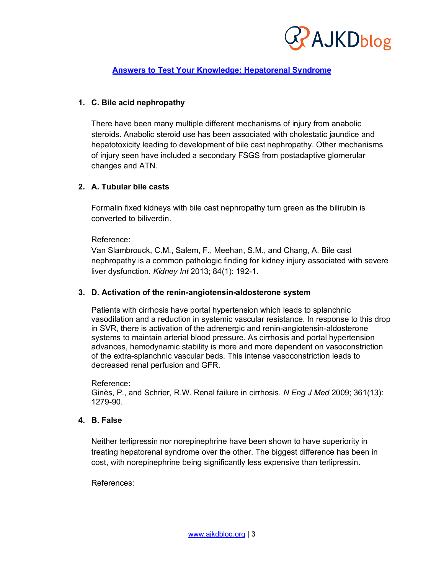

# **Answers to Test Your Knowledge: Hepatorenal Syndrome**

# **1. C. Bile acid nephropathy**

There have been many multiple different mechanisms of injury from anabolic steroids. Anabolic steroid use has been associated with cholestatic jaundice and hepatotoxicity leading to development of bile cast nephropathy. Other mechanisms of injury seen have included a secondary FSGS from postadaptive glomerular changes and ATN.

### **2. A. Tubular bile casts**

Formalin fixed kidneys with bile cast nephropathy turn green as the bilirubin is converted to biliverdin.

### Reference:

Van Slambrouck, C.M., Salem, F., Meehan, S.M., and Chang, A. Bile cast nephropathy is a common pathologic finding for kidney injury associated with severe liver dysfunction. *Kidney Int* 2013; 84(1): 192-1.

### **3. D. Activation of the renin-angiotensin-aldosterone system**

Patients with cirrhosis have portal hypertension which leads to splanchnic vasodilation and a reduction in systemic vascular resistance. In response to this drop in SVR, there is activation of the adrenergic and renin-angiotensin-aldosterone systems to maintain arterial blood pressure. As cirrhosis and portal hypertension advances, hemodynamic stability is more and more dependent on vasoconstriction of the extra-splanchnic vascular beds. This intense vasoconstriction leads to decreased renal perfusion and GFR.

#### Reference:

Ginès, P., and Schrier, R.W. Renal failure in cirrhosis. *N Eng J Med* 2009; 361(13): 1279-90.

# **4. B. False**

Neither terlipressin nor norepinephrine have been shown to have superiority in treating hepatorenal syndrome over the other. The biggest difference has been in cost, with norepinephrine being significantly less expensive than terlipressin.

### References: